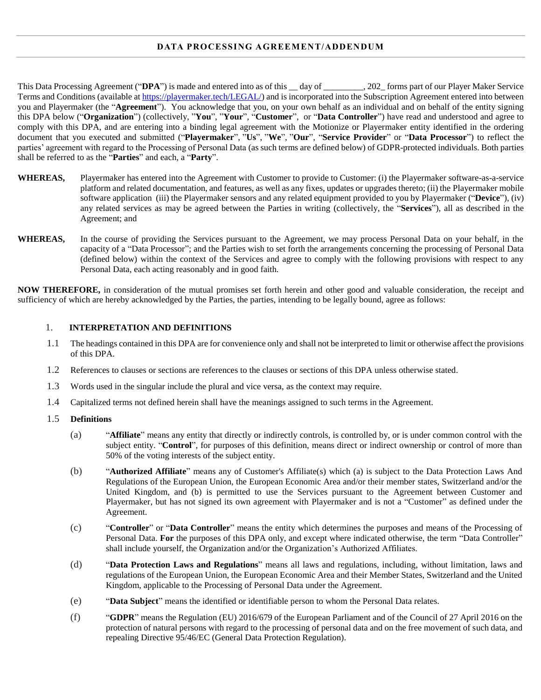# **DATA PROCESSING AGREEMENT/ADDENDUM**

This Data Processing Agreement ("DPA") is made and entered into as of this \_\_ day of \_\_\_\_\_\_\_\_, 202\_forms part of our Player Maker Service Terms and Conditions (available at [https://playermaker.tech/LEGAL/\)](https://playermaker.tech/LEGAL/) and is incorporated into the Subscription Agreement entered into between you and Playermaker (the "**Agreement**"). You acknowledge that you, on your own behalf as an individual and on behalf of the entity signing this DPA below ("**Organization**") (collectively, "**You**", "**Your**", "**Customer**", or "**Data Controller**") have read and understood and agree to comply with this DPA, and are entering into a binding legal agreement with the Motionize or Playermaker entity identified in the ordering document that you executed and submitted ("**Playermaker**", "**Us**", "**We**", "**Our**", "**Service Provider**" or "**Data Processor**") to reflect the parties' agreement with regard to the Processing of Personal Data (as such terms are defined below) of GDPR-protected individuals. Both parties shall be referred to as the "**Parties**" and each, a "**Party**".

- **WHEREAS,** Playermaker has entered into the Agreement with Customer to provide to Customer: (i) the Playermaker software-as-a-service platform and related documentation, and features, as well as any fixes, updates or upgrades thereto; (ii) the Playermaker mobile software application (iii) the Playermaker sensors and any related equipment provided to you by Playermaker ("**Device**"), (iv) any related services as may be agreed between the Parties in writing (collectively, the "**Services**"), all as described in the Agreement; and
- **WHEREAS,** In the course of providing the Services pursuant to the Agreement, we may process Personal Data on your behalf, in the capacity of a "Data Processor"; and the Parties wish to set forth the arrangements concerning the processing of Personal Data (defined below) within the context of the Services and agree to comply with the following provisions with respect to any Personal Data, each acting reasonably and in good faith.

**NOW THEREFORE,** in consideration of the mutual promises set forth herein and other good and valuable consideration, the receipt and sufficiency of which are hereby acknowledged by the Parties, the parties, intending to be legally bound, agree as follows:

#### 1. **INTERPRETATION AND DEFINITIONS**

- 1.1 The headings contained in this DPA are for convenience only and shall not be interpreted to limit or otherwise affect the provisions of this DPA.
- 1.2 References to clauses or sections are references to the clauses or sections of this DPA unless otherwise stated.
- 1.3 Words used in the singular include the plural and vice versa, as the context may require.
- 1.4 Capitalized terms not defined herein shall have the meanings assigned to such terms in the Agreement.
- 1.5 **Definitions**
	- (a) "**Affiliate**" means any entity that directly or indirectly controls, is controlled by, or is under common control with the subject entity. "**Control**", for purposes of this definition, means direct or indirect ownership or control of more than 50% of the voting interests of the subject entity.
	- (b) "**Authorized Affiliate**" means any of Customer's Affiliate(s) which (a) is subject to the Data Protection Laws And Regulations of the European Union, the European Economic Area and/or their member states, Switzerland and/or the United Kingdom, and (b) is permitted to use the Services pursuant to the Agreement between Customer and Playermaker, but has not signed its own agreement with Playermaker and is not a "Customer" as defined under the Agreement.
	- (c) "**Controller**" or "**Data Controller**" means the entity which determines the purposes and means of the Processing of Personal Data. **For** the purposes of this DPA only, and except where indicated otherwise, the term "Data Controller" shall include yourself, the Organization and/or the Organization's Authorized Affiliates.
	- (d) "**Data Protection Laws and Regulations**" means all laws and regulations, including, without limitation, laws and regulations of the European Union, the European Economic Area and their Member States, Switzerland and the United Kingdom, applicable to the Processing of Personal Data under the Agreement.
	- (e) "**Data Subject**" means the identified or identifiable person to whom the Personal Data relates.
	- (f) "**GDPR**" means the Regulation (EU) 2016/679 of the European Parliament and of the Council of 27 April 2016 on the protection of natural persons with regard to the processing of personal data and on the free movement of such data, and repealing Directive 95/46/EC (General Data Protection Regulation).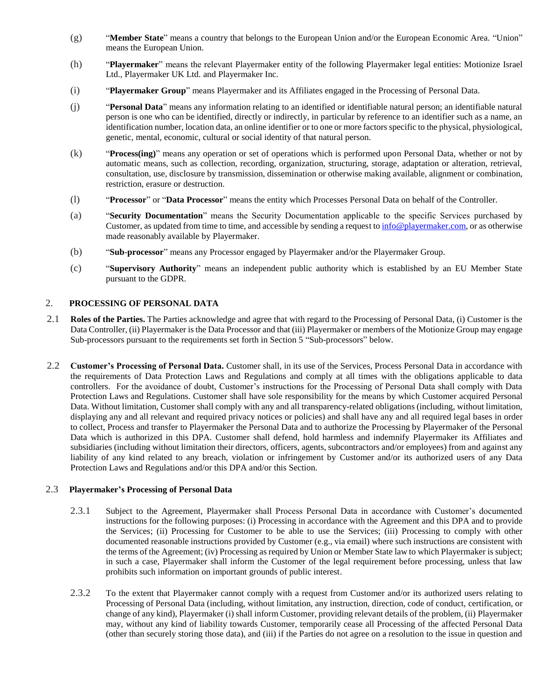- (g) "**Member State**" means a country that belongs to the European Union and/or the European Economic Area. "Union" means the European Union.
- (h) "**Playermaker**" means the relevant Playermaker entity of the following Playermaker legal entities: Motionize Israel Ltd., Playermaker UK Ltd. and Playermaker Inc.
- (i) "**Playermaker Group**" means Playermaker and its Affiliates engaged in the Processing of Personal Data.
- (j) "**Personal Data**" means any information relating to an identified or identifiable natural person; an identifiable natural person is one who can be identified, directly or indirectly, in particular by reference to an identifier such as a name, an identification number, location data, an online identifier or to one or more factors specific to the physical, physiological, genetic, mental, economic, cultural or social identity of that natural person.
- (k) "**Process(ing)**" means any operation or set of operations which is performed upon Personal Data, whether or not by automatic means, such as collection, recording, organization, structuring, storage, adaptation or alteration, retrieval, consultation, use, disclosure by transmission, dissemination or otherwise making available, alignment or combination, restriction, erasure or destruction.
- (l) "**Processor**" or "**Data Processor**" means the entity which Processes Personal Data on behalf of the Controller.
- (a) "**Security Documentation**" means the Security Documentation applicable to the specific Services purchased by Customer, as updated from time to time, and accessible by sending a request t[o info@playermaker.com,](mailto:info@playermaker.com) or as otherwise made reasonably available by Playermaker.
- (b) "**Sub**-**processor**" means any Processor engaged by Playermaker and/or the Playermaker Group.
- (c) "**Supervisory Authority**" means an independent public authority which is established by an EU Member State pursuant to the GDPR.

# 2. **PROCESSING OF PERSONAL DATA**

- 2.1 **Roles of the Parties.** The Parties acknowledge and agree that with regard to the Processing of Personal Data, (i) Customer is the Data Controller, (ii) Playermaker is the Data Processor and that (iii) Playermaker or members of the Motionize Group may engage Sub-processors pursuant to the requirements set forth in Section 5 "Sub-processors" below.
- 2.2 **Customer's Processing of Personal Data.** Customer shall, in its use of the Services, Process Personal Data in accordance with the requirements of Data Protection Laws and Regulations and comply at all times with the obligations applicable to data controllers. For the avoidance of doubt, Customer's instructions for the Processing of Personal Data shall comply with Data Protection Laws and Regulations. Customer shall have sole responsibility for the means by which Customer acquired Personal Data. Without limitation, Customer shall comply with any and all transparency-related obligations (including, without limitation, displaying any and all relevant and required privacy notices or policies) and shall have any and all required legal bases in order to collect, Process and transfer to Playermaker the Personal Data and to authorize the Processing by Playermaker of the Personal Data which is authorized in this DPA. Customer shall defend, hold harmless and indemnify Playermaker its Affiliates and subsidiaries (including without limitation their directors, officers, agents, subcontractors and/or employees) from and against any liability of any kind related to any breach, violation or infringement by Customer and/or its authorized users of any Data Protection Laws and Regulations and/or this DPA and/or this Section.

## 2.3 **Playermaker's Processing of Personal Data**

- 2.3.1 Subject to the Agreement, Playermaker shall Process Personal Data in accordance with Customer's documented instructions for the following purposes: (i) Processing in accordance with the Agreement and this DPA and to provide the Services; (ii) Processing for Customer to be able to use the Services; (iii) Processing to comply with other documented reasonable instructions provided by Customer (e.g., via email) where such instructions are consistent with the terms of the Agreement; (iv) Processing as required by Union or Member State law to which Playermaker is subject; in such a case, Playermaker shall inform the Customer of the legal requirement before processing, unless that law prohibits such information on important grounds of public interest.
- 2.3.2 To the extent that Playermaker cannot comply with a request from Customer and/or its authorized users relating to Processing of Personal Data (including, without limitation, any instruction, direction, code of conduct, certification, or change of any kind), Playermaker (i) shall inform Customer, providing relevant details of the problem, (ii) Playermaker may, without any kind of liability towards Customer, temporarily cease all Processing of the affected Personal Data (other than securely storing those data), and (iii) if the Parties do not agree on a resolution to the issue in question and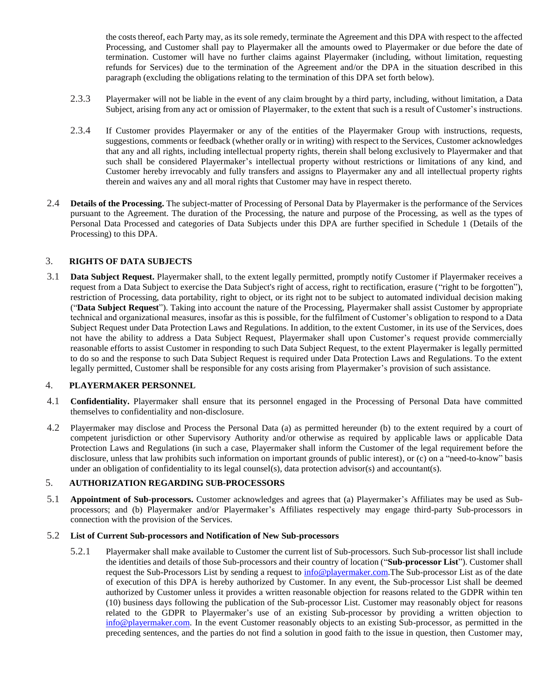the costs thereof, each Party may, as its sole remedy, terminate the Agreement and this DPA with respect to the affected Processing, and Customer shall pay to Playermaker all the amounts owed to Playermaker or due before the date of termination. Customer will have no further claims against Playermaker (including, without limitation, requesting refunds for Services) due to the termination of the Agreement and/or the DPA in the situation described in this paragraph (excluding the obligations relating to the termination of this DPA set forth below).

- 2.3.3 Playermaker will not be liable in the event of any claim brought by a third party, including, without limitation, a Data Subject, arising from any act or omission of Playermaker, to the extent that such is a result of Customer's instructions.
- 2.3.4 If Customer provides Playermaker or any of the entities of the Playermaker Group with instructions, requests, suggestions, comments or feedback (whether orally or in writing) with respect to the Services, Customer acknowledges that any and all rights, including intellectual property rights, therein shall belong exclusively to Playermaker and that such shall be considered Playermaker's intellectual property without restrictions or limitations of any kind, and Customer hereby irrevocably and fully transfers and assigns to Playermaker any and all intellectual property rights therein and waives any and all moral rights that Customer may have in respect thereto.
- 2.4 **Details of the Processing.** The subject-matter of Processing of Personal Data by Playermaker is the performance of the Services pursuant to the Agreement. The duration of the Processing, the nature and purpose of the Processing, as well as the types of Personal Data Processed and categories of Data Subjects under this DPA are further specified in Schedule 1 (Details of the Processing) to this DPA.

# 3. **RIGHTS OF DATA SUBJECTS**

3.1 **Data Subject Request.** Playermaker shall, to the extent legally permitted, promptly notify Customer if Playermaker receives a request from a Data Subject to exercise the Data Subject's right of access, right to rectification, erasure ("right to be forgotten"), restriction of Processing, data portability, right to object, or its right not to be subject to automated individual decision making ("**Data Subject Request**"). Taking into account the nature of the Processing, Playermaker shall assist Customer by appropriate technical and organizational measures, insofar as this is possible, for the fulfilment of Customer's obligation to respond to a Data Subject Request under Data Protection Laws and Regulations. In addition, to the extent Customer, in its use of the Services, does not have the ability to address a Data Subject Request, Playermaker shall upon Customer's request provide commercially reasonable efforts to assist Customer in responding to such Data Subject Request, to the extent Playermaker is legally permitted to do so and the response to such Data Subject Request is required under Data Protection Laws and Regulations. To the extent legally permitted, Customer shall be responsible for any costs arising from Playermaker's provision of such assistance.

#### 4. **PLAYERMAKER PERSONNEL**

- 4.1 **Confidentiality.** Playermaker shall ensure that its personnel engaged in the Processing of Personal Data have committed themselves to confidentiality and non-disclosure.
- 4.2 Playermaker may disclose and Process the Personal Data (a) as permitted hereunder (b) to the extent required by a court of competent jurisdiction or other Supervisory Authority and/or otherwise as required by applicable laws or applicable Data Protection Laws and Regulations (in such a case, Playermaker shall inform the Customer of the legal requirement before the disclosure, unless that law prohibits such information on important grounds of public interest), or (c) on a "need-to-know" basis under an obligation of confidentiality to its legal counsel(s), data protection advisor(s) and accountant(s).

## 5. **AUTHORIZATION REGARDING SUB-PROCESSORS**

5.1 **Appointment of Sub-processors.** Customer acknowledges and agrees that (a) Playermaker's Affiliates may be used as Subprocessors; and (b) Playermaker and/or Playermaker's Affiliates respectively may engage third-party Sub-processors in connection with the provision of the Services.

#### 5.2 **List of Current Sub-processors and Notification of New Sub-processors**

5.2.1 Playermaker shall make available to Customer the current list of Sub-processors. Such Sub-processor list shall include the identities and details of those Sub-processors and their country of location ("**Sub-processor List**"). Customer shall request the Sub-Processors List by sending a request to  $\frac{info@playermaker.com}{info@player.}$  The Sub-processor List as of the date of execution of this DPA is hereby authorized by Customer. In any event, the Sub-processor List shall be deemed authorized by Customer unless it provides a written reasonable objection for reasons related to the GDPR within ten (10) business days following the publication of the Sub-processor List. Customer may reasonably object for reasons related to the GDPR to Playermaker's use of an existing Sub-processor by providing a written objection to [info@playermaker.com.](mailto:info@playermaker.co.uk) In the event Customer reasonably objects to an existing Sub-processor, as permitted in the preceding sentences, and the parties do not find a solution in good faith to the issue in question, then Customer may,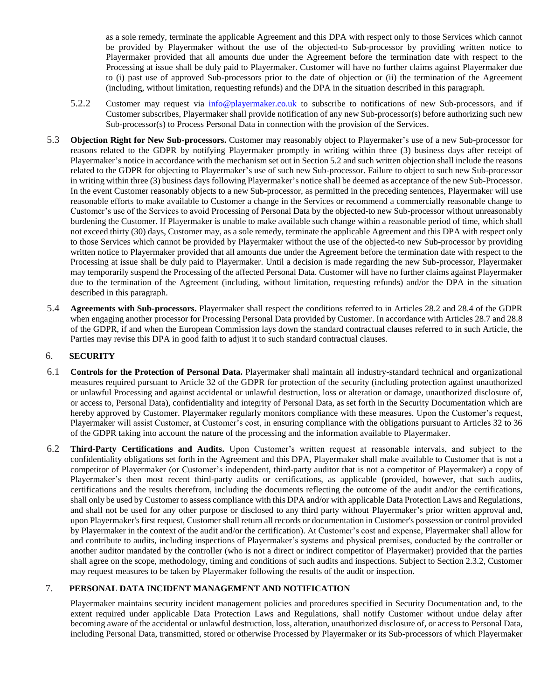as a sole remedy, terminate the applicable Agreement and this DPA with respect only to those Services which cannot be provided by Playermaker without the use of the objected-to Sub-processor by providing written notice to Playermaker provided that all amounts due under the Agreement before the termination date with respect to the Processing at issue shall be duly paid to Playermaker. Customer will have no further claims against Playermaker due to (i) past use of approved Sub-processors prior to the date of objection or (ii) the termination of the Agreement (including, without limitation, requesting refunds) and the DPA in the situation described in this paragraph.

- 5.2.2 Customer may request via  $\frac{info@playermaker.co.uk}{info@player maker.co.uk}$  $\frac{info@playermaker.co.uk}{info@player maker.co.uk}$  $\frac{info@playermaker.co.uk}{info@player maker.co.uk}$  to subscribe to notifications of new Sub-processors, and if Customer subscribes, Playermaker shall provide notification of any new Sub-processor(s) before authorizing such new Sub-processor(s) to Process Personal Data in connection with the provision of the Services.
- 5.3 **Objection Right for New Sub-processors.** Customer may reasonably object to Playermaker's use of a new Sub-processor for reasons related to the GDPR by notifying Playermaker promptly in writing within three (3) business days after receipt of Playermaker's notice in accordance with the mechanism set out in Section 5.2 and such written objection shall include the reasons related to the GDPR for objecting to Playermaker's use of such new Sub-processor. Failure to object to such new Sub-processor in writing within three (3) business days following Playermaker's notice shall be deemed as acceptance of the new Sub-Processor. In the event Customer reasonably objects to a new Sub-processor, as permitted in the preceding sentences, Playermaker will use reasonable efforts to make available to Customer a change in the Services or recommend a commercially reasonable change to Customer's use of the Services to avoid Processing of Personal Data by the objected-to new Sub-processor without unreasonably burdening the Customer. If Playermaker is unable to make available such change within a reasonable period of time, which shall not exceed thirty (30) days, Customer may, as a sole remedy, terminate the applicable Agreement and this DPA with respect only to those Services which cannot be provided by Playermaker without the use of the objected-to new Sub-processor by providing written notice to Playermaker provided that all amounts due under the Agreement before the termination date with respect to the Processing at issue shall be duly paid to Playermaker. Until a decision is made regarding the new Sub-processor, Playermaker may temporarily suspend the Processing of the affected Personal Data. Customer will have no further claims against Playermaker due to the termination of the Agreement (including, without limitation, requesting refunds) and/or the DPA in the situation described in this paragraph.
- 5.4 **Agreements with Sub-processors.** Playermaker shall respect the conditions referred to in Articles 28.2 and 28.4 of the GDPR when engaging another processor for Processing Personal Data provided by Customer. In accordance with Articles 28.7 and 28.8 of the GDPR, if and when the European Commission lays down the standard contractual clauses referred to in such Article, the Parties may revise this DPA in good faith to adjust it to such standard contractual clauses.

## 6. **SECURITY**

- 6.1 **Controls for the Protection of Personal Data.** Playermaker shall maintain all industry-standard technical and organizational measures required pursuant to Article 32 of the GDPR for protection of the security (including protection against unauthorized or unlawful Processing and against accidental or unlawful destruction, loss or alteration or damage, unauthorized disclosure of, or access to, Personal Data), confidentiality and integrity of Personal Data, as set forth in the Security Documentation which are hereby approved by Customer. Playermaker regularly monitors compliance with these measures. Upon the Customer's request, Playermaker will assist Customer, at Customer's cost, in ensuring compliance with the obligations pursuant to Articles 32 to 36 of the GDPR taking into account the nature of the processing and the information available to Playermaker.
- 6.2 **Third-Party Certifications and Audits.** Upon Customer's written request at reasonable intervals, and subject to the confidentiality obligations set forth in the Agreement and this DPA, Playermaker shall make available to Customer that is not a competitor of Playermaker (or Customer's independent, third-party auditor that is not a competitor of Playermaker) a copy of Playermaker's then most recent third-party audits or certifications, as applicable (provided, however, that such audits, certifications and the results therefrom, including the documents reflecting the outcome of the audit and/or the certifications, shall only be used by Customer to assess compliance with this DPA and/or with applicable Data Protection Laws and Regulations, and shall not be used for any other purpose or disclosed to any third party without Playermaker's prior written approval and, upon Playermaker's first request, Customer shall return all records or documentation in Customer's possession or control provided by Playermaker in the context of the audit and/or the certification). At Customer's cost and expense, Playermaker shall allow for and contribute to audits, including inspections of Playermaker's systems and physical premises, conducted by the controller or another auditor mandated by the controller (who is not a direct or indirect competitor of Playermaker) provided that the parties shall agree on the scope, methodology, timing and conditions of such audits and inspections. Subject to Section 2.3.2, Customer may request measures to be taken by Playermaker following the results of the audit or inspection.

# 7. **PERSONAL DATA INCIDENT MANAGEMENT AND NOTIFICATION**

Playermaker maintains security incident management policies and procedures specified in Security Documentation and, to the extent required under applicable Data Protection Laws and Regulations, shall notify Customer without undue delay after becoming aware of the accidental or unlawful destruction, loss, alteration, unauthorized disclosure of, or access to Personal Data, including Personal Data, transmitted, stored or otherwise Processed by Playermaker or its Sub-processors of which Playermaker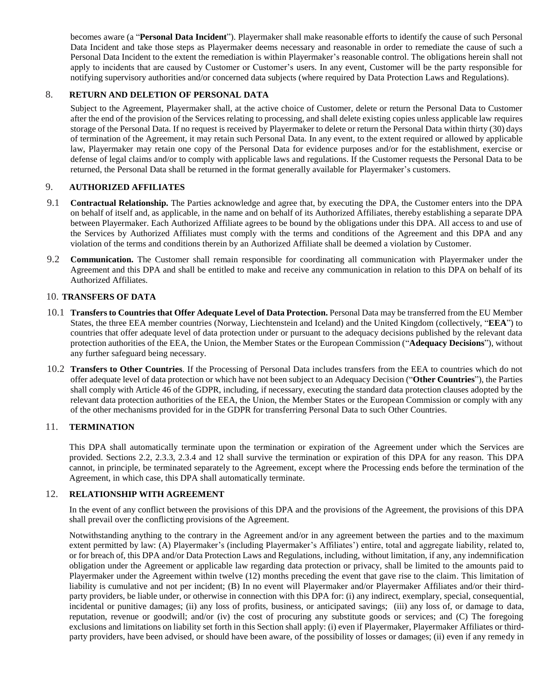becomes aware (a "**Personal Data Incident**"). Playermaker shall make reasonable efforts to identify the cause of such Personal Data Incident and take those steps as Playermaker deems necessary and reasonable in order to remediate the cause of such a Personal Data Incident to the extent the remediation is within Playermaker's reasonable control. The obligations herein shall not apply to incidents that are caused by Customer or Customer's users. In any event, Customer will be the party responsible for notifying supervisory authorities and/or concerned data subjects (where required by Data Protection Laws and Regulations).

# 8. **RETURN AND DELETION OF PERSONAL DATA**

Subject to the Agreement, Playermaker shall, at the active choice of Customer, delete or return the Personal Data to Customer after the end of the provision of the Services relating to processing, and shall delete existing copies unless applicable law requires storage of the Personal Data. If no request is received by Playermaker to delete or return the Personal Data within thirty (30) days of termination of the Agreement, it may retain such Personal Data. In any event, to the extent required or allowed by applicable law, Playermaker may retain one copy of the Personal Data for evidence purposes and/or for the establishment, exercise or defense of legal claims and/or to comply with applicable laws and regulations. If the Customer requests the Personal Data to be returned, the Personal Data shall be returned in the format generally available for Playermaker's customers.

## 9. **AUTHORIZED AFFILIATES**

- 9.1 **Contractual Relationship.** The Parties acknowledge and agree that, by executing the DPA, the Customer enters into the DPA on behalf of itself and, as applicable, in the name and on behalf of its Authorized Affiliates, thereby establishing a separate DPA between Playermaker. Each Authorized Affiliate agrees to be bound by the obligations under this DPA. All access to and use of the Services by Authorized Affiliates must comply with the terms and conditions of the Agreement and this DPA and any violation of the terms and conditions therein by an Authorized Affiliate shall be deemed a violation by Customer.
- 9.2 **Communication.** The Customer shall remain responsible for coordinating all communication with Playermaker under the Agreement and this DPA and shall be entitled to make and receive any communication in relation to this DPA on behalf of its Authorized Affiliates.

### 10. **TRANSFERS OF DATA**

- 10.1 **Transfers to Countries that Offer Adequate Level of Data Protection.** Personal Data may be transferred from the EU Member States, the three EEA member countries (Norway, Liechtenstein and Iceland) and the United Kingdom (collectively, "**EEA**") to countries that offer adequate level of data protection under or pursuant to the adequacy decisions published by the relevant data protection authorities of the EEA, the Union, the Member States or the European Commission ("**Adequacy Decisions**"), without any further safeguard being necessary.
- 10.2 **Transfers to Other Countries**. If the Processing of Personal Data includes transfers from the EEA to countries which do not offer adequate level of data protection or which have not been subject to an Adequacy Decision ("**Other Countries**"), the Parties shall comply with Article 46 of the GDPR, including, if necessary, executing the standard data protection clauses adopted by the relevant data protection authorities of the EEA, the Union, the Member States or the European Commission or comply with any of the other mechanisms provided for in the GDPR for transferring Personal Data to such Other Countries.

# 11. **TERMINATION**

This DPA shall automatically terminate upon the termination or expiration of the Agreement under which the Services are provided. Sections 2.2, 2.3.3, 2.3.4 and 12 shall survive the termination or expiration of this DPA for any reason. This DPA cannot, in principle, be terminated separately to the Agreement, except where the Processing ends before the termination of the Agreement, in which case, this DPA shall automatically terminate.

#### 12. **RELATIONSHIP WITH AGREEMENT**

In the event of any conflict between the provisions of this DPA and the provisions of the Agreement, the provisions of this DPA shall prevail over the conflicting provisions of the Agreement.

Notwithstanding anything to the contrary in the Agreement and/or in any agreement between the parties and to the maximum extent permitted by law: (A) Playermaker's (including Playermaker's Affiliates') entire, total and aggregate liability, related to, or for breach of, this DPA and/or Data Protection Laws and Regulations, including, without limitation, if any, any indemnification obligation under the Agreement or applicable law regarding data protection or privacy, shall be limited to the amounts paid to Playermaker under the Agreement within twelve (12) months preceding the event that gave rise to the claim. This limitation of liability is cumulative and not per incident; (B) In no event will Playermaker and/or Playermaker Affiliates and/or their thirdparty providers, be liable under, or otherwise in connection with this DPA for: (i) any indirect, exemplary, special, consequential, incidental or punitive damages; (ii) any loss of profits, business, or anticipated savings; (iii) any loss of, or damage to data, reputation, revenue or goodwill; and/or (iv) the cost of procuring any substitute goods or services; and (C) The foregoing exclusions and limitations on liability set forth in this Section shall apply: (i) even if Playermaker, Playermaker Affiliates or thirdparty providers, have been advised, or should have been aware, of the possibility of losses or damages; (ii) even if any remedy in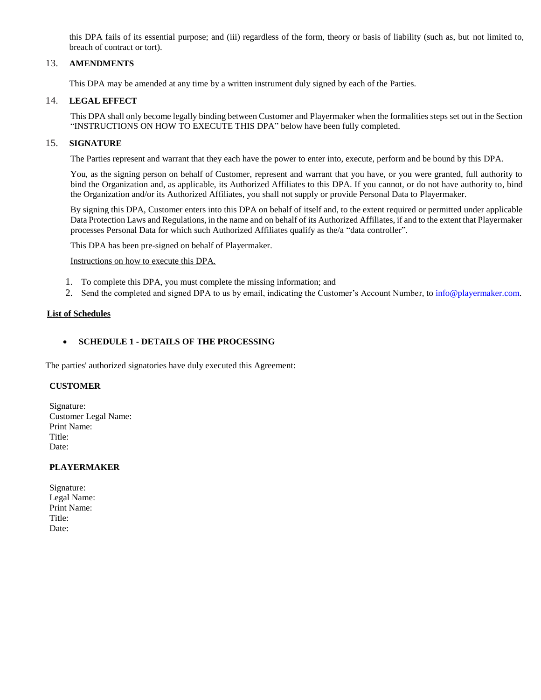this DPA fails of its essential purpose; and (iii) regardless of the form, theory or basis of liability (such as, but not limited to, breach of contract or tort).

## 13. **AMENDMENTS**

This DPA may be amended at any time by a written instrument duly signed by each of the Parties.

## 14. **LEGAL EFFECT**

This DPA shall only become legally binding between Customer and Playermaker when the formalities steps set out in the Section "INSTRUCTIONS ON HOW TO EXECUTE THIS DPA" below have been fully completed.

#### 15. **SIGNATURE**

The Parties represent and warrant that they each have the power to enter into, execute, perform and be bound by this DPA.

You, as the signing person on behalf of Customer, represent and warrant that you have, or you were granted, full authority to bind the Organization and, as applicable, its Authorized Affiliates to this DPA. If you cannot, or do not have authority to, bind the Organization and/or its Authorized Affiliates, you shall not supply or provide Personal Data to Playermaker.

By signing this DPA, Customer enters into this DPA on behalf of itself and, to the extent required or permitted under applicable Data Protection Laws and Regulations, in the name and on behalf of its Authorized Affiliates, if and to the extent that Playermaker processes Personal Data for which such Authorized Affiliates qualify as the/a "data controller".

This DPA has been pre-signed on behalf of Playermaker.

Instructions on how to execute this DPA.

- 1. To complete this DPA, you must complete the missing information; and
- 2. Send the completed and signed DPA to us by email, indicating the Customer's Account Number, to [info@playermaker.com.](mailto:info@playermaker.co.uk)

#### **List of Schedules**

## **SCHEDULE 1 - DETAILS OF THE PROCESSING**

The parties' authorized signatories have duly executed this Agreement:

## **CUSTOMER**

Signature: Customer Legal Name: Print Name: Title: Date:

#### **PLAYERMAKER**

| Signature:  |
|-------------|
| Legal Name: |
| Print Name: |
| Title:      |
| Date:       |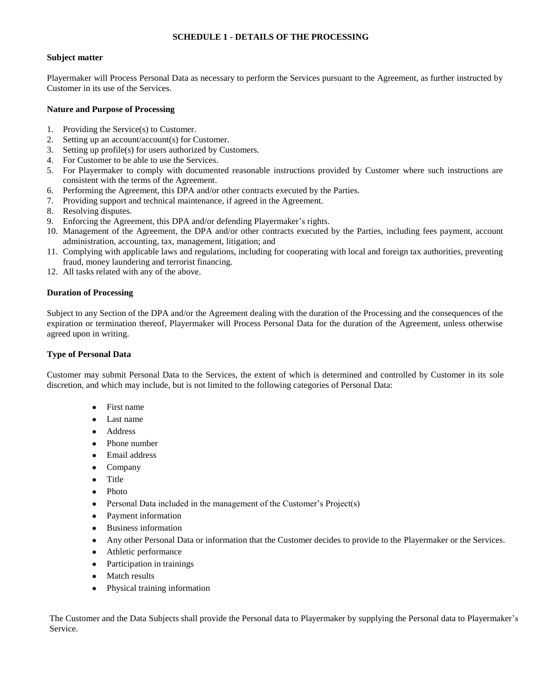## **SCHEDULE 1 - DETAILS OF THE PROCESSING**

#### **Subject matter**

Playermaker will Process Personal Data as necessary to perform the Services pursuant to the Agreement, as further instructed by Customer in its use of the Services.

#### **Nature and Purpose of Processing**

- 1. Providing the Service(s) to Customer.
- 2. Setting up an account/account(s) for Customer.
- 3. Setting up profile(s) for users authorized by Customers.
- 4. For Customer to be able to use the Services.
- 5. For Playermaker to comply with documented reasonable instructions provided by Customer where such instructions are consistent with the terms of the Agreement.
- 6. Performing the Agreement, this DPA and/or other contracts executed by the Parties.
- 7. Providing support and technical maintenance, if agreed in the Agreement.
- 8. Resolving disputes.
- 9. Enforcing the Agreement, this DPA and/or defending Playermaker's rights.
- 10. Management of the Agreement, the DPA and/or other contracts executed by the Parties, including fees payment, account administration, accounting, tax, management, litigation; and
- 11. Complying with applicable laws and regulations, including for cooperating with local and foreign tax authorities, preventing fraud, money laundering and terrorist financing.
- 12. All tasks related with any of the above.

#### **Duration of Processing**

Subject to any Section of the DPA and/or the Agreement dealing with the duration of the Processing and the consequences of the expiration or termination thereof, Playermaker will Process Personal Data for the duration of the Agreement, unless otherwise agreed upon in writing.

### **Type of Personal Data**

Customer may submit Personal Data to the Services, the extent of which is determined and controlled by Customer in its sole discretion, and which may include, but is not limited to the following categories of Personal Data:

- First name
- Last name
- **Address**
- Phone number
- Email address
- Company
- Title
- Photo
- Personal Data included in the management of the Customer's  $Project(s)$
- Payment information
- **Business information**
- Any other Personal Data or information that the Customer decides to provide to the Playermaker or the Services.
- Athletic performance
- Participation in trainings
- **Match results**
- Physical training information

The Customer and the Data Subjects shall provide the Personal data to Playermaker by supplying the Personal data to Playermaker's Service.